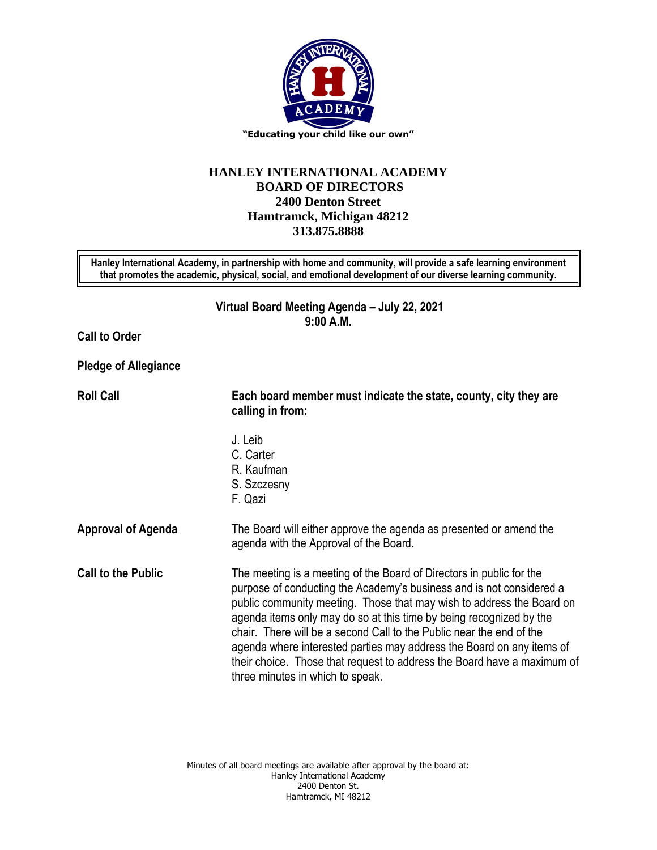

## **HANLEY INTERNATIONAL ACADEMY BOARD OF DIRECTORS 2400 Denton Street Hamtramck, Michigan 48212 313.875.8888**

**Hanley International Academy, in partnership with home and community, will provide a safe learning environment that promotes the academic, physical, social, and emotional development of our diverse learning community.**

> **Virtual Board Meeting Agenda – July 22, 2021 9:00 A.M.**

**Call to Order**

**Pledge of Allegiance**

**Roll Call Each board member must indicate the state, county, city they are calling in from:** J. Leib C. Carter R. Kaufman S. Szczesny F. Qazi **Approval of Agenda** The Board will either approve the agenda as presented or amend the agenda with the Approval of the Board. **Call to the Public** The meeting is a meeting of the Board of Directors in public for the purpose of conducting the Academy's business and is not considered a public community meeting. Those that may wish to address the Board on agenda items only may do so at this time by being recognized by the chair. There will be a second Call to the Public near the end of the agenda where interested parties may address the Board on any items of their choice. Those that request to address the Board have a maximum of three minutes in which to speak.